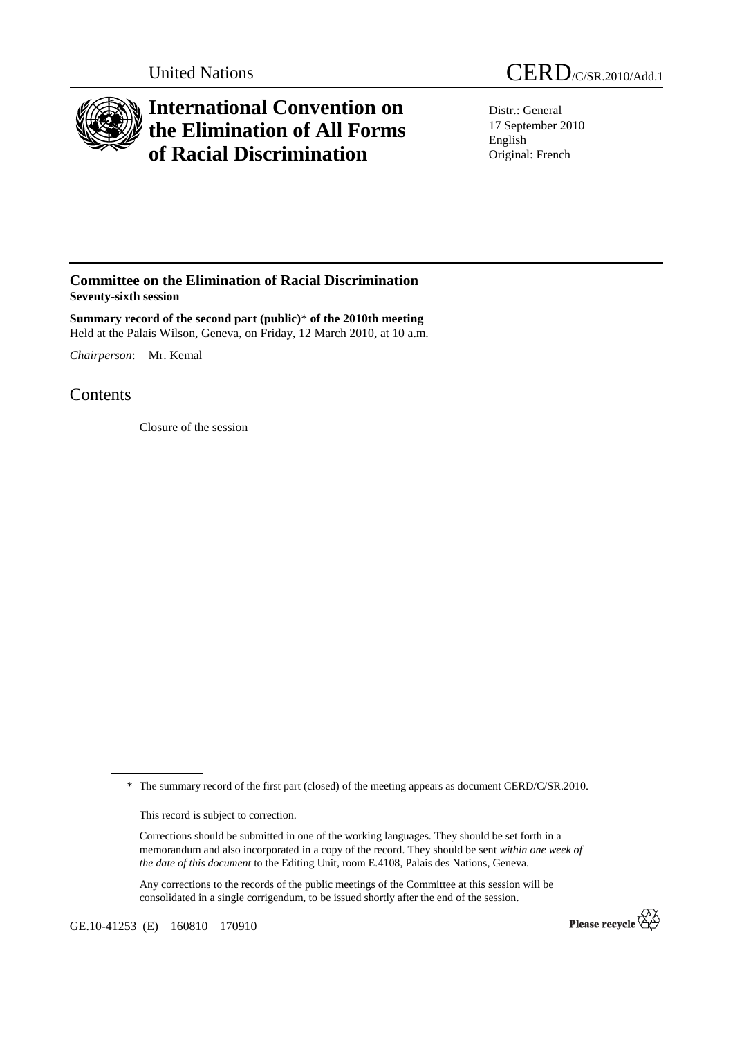

## **International Convention on the Elimination of All Forms of Racial Discrimination**

Distr.: General 17 September 2010 English Original: French

## **Committee on the Elimination of Racial Discrimination Seventy-sixth session**

**Summary record of the second part (public)**\* **of the 2010th meeting**  Held at the Palais Wilson, Geneva, on Friday, 12 March 2010, at 10 a.m.

*Chairperson*: Mr. Kemal

**Contents** 

Closure of the session

\* The summary record of the first part (closed) of the meeting appears as document CERD/C/SR.2010.

This record is subject to correction.

Corrections should be submitted in one of the working languages. They should be set forth in a memorandum and also incorporated in a copy of the record. They should be sent *within one week of the date of this document* to the Editing Unit, room E.4108, Palais des Nations, Geneva.

Any corrections to the records of the public meetings of the Committee at this session will be consolidated in a single corrigendum, to be issued shortly after the end of the session.

GE.10-41253 (E) 160810 170910